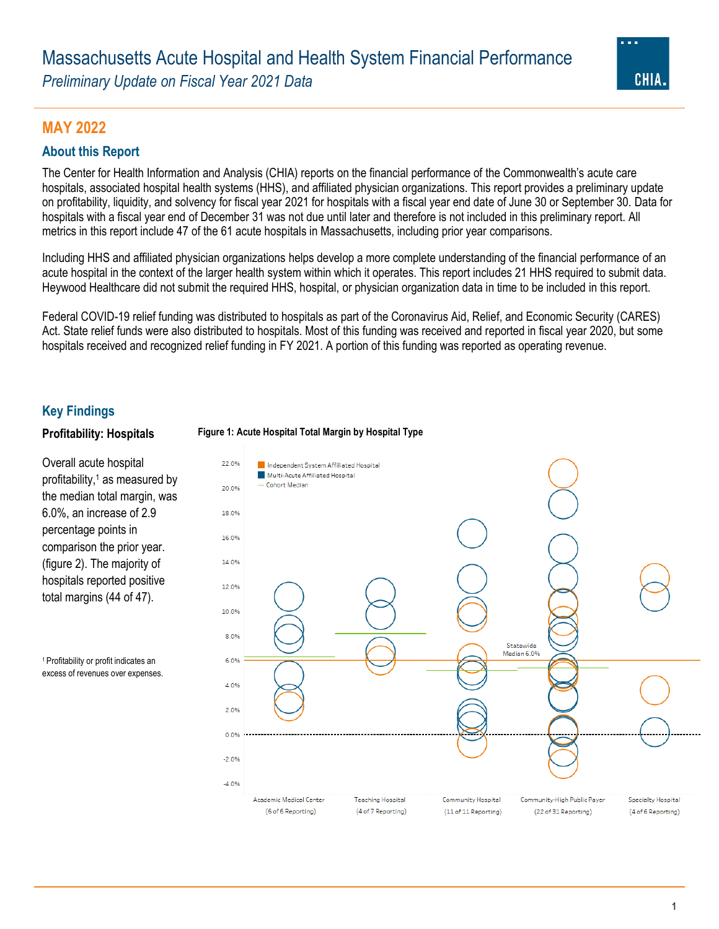

# **MAY 2022**

# **About this Report**

The Center for Health Information and Analysis (CHIA) reports on the financial performance of the Commonwealth's acute care hospitals, associated hospital health systems (HHS), and affiliated physician organizations. This report provides a preliminary update on profitability, liquidity, and solvency for fiscal year 2021 for hospitals with a fiscal year end date of June 30 or September 30. Data for hospitals with a fiscal year end of December 31 was not due until later and therefore is not included in this preliminary report. All metrics in this report include 47 of the 61 acute hospitals in Massachusetts, including prior year comparisons.

Including HHS and affiliated physician organizations helps develop a more complete understanding of the financial performance of an acute hospital in the context of the larger health system within which it operates. This report includes 21 HHS required to submit data. Heywood Healthcare did not submit the required HHS, hospital, or physician organization data in time to be included in this report.

Federal COVID-19 relief funding was distributed to hospitals as part of the Coronavirus Aid, Relief, and Economic Security (CARES) Act. State relief funds were also distributed to hospitals. Most of this funding was received and reported in fiscal year 2020, but some hospitals received and recognized relief funding in FY 2021. A portion of this funding was reported as operating revenue.

# **Key Findings**

Overall acute hospital profitability, <sup>1</sup> as measured by the median total margin, was 6.0%, an increase of 2.9 percentage points in comparison the prior year. (figure 2). The majority of hospitals reported positive total margins (44 of 47).

<sup>1</sup> Profitability or profit indicates an excess of revenues over expenses.

#### 22.0% Independent System Affiliated Hospital Multi-Acute Affiliated Hospital - Cohort Median 20.0% 18.0% 16.0% 14.0% 12.0% 10.0% 8.0% Statewide Median 6.0% 6.0% 4 0% 2.0% 0.0%  $-2.0%$  $-4.0%$ Community-High Public Payer **Academic Medical Center Teaching Hospital Community Hospital Specialty Hospital** (6 of 6 Reporting) (4 of 7 Reporting) (11 of 11 Reporting) (22 of 31 Reporting) (4 of 6 Reporting)

# **Profitability: Hospitals Figure 1: Acute Hospital Total Margin by Hospital Type**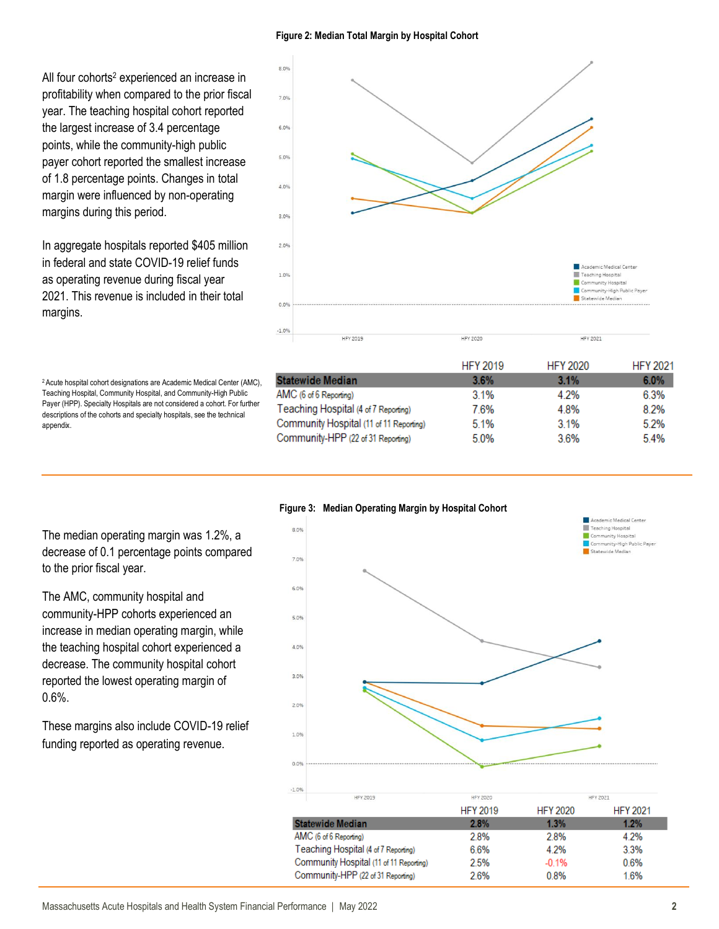All four cohorts<sup>2</sup> experienced an increase in profitability when compared to the prior fiscal year. The teaching hospital cohort reported the largest increase of 3.4 percentage points, while the community-high public payer cohort reported the smallest increase of 1.8 percentage points. Changes in total margin were influenced by non-operating margins during this period.

In aggregate hospitals reported \$405 million in federal and state COVID-19 relief funds as operating revenue during fiscal year 2021. This revenue is included in their total margins.

<sup>2</sup>Acute hospital cohort designations are Academic Medical Center (AMC), Teaching Hospital, Community Hospital, and Community-High Public Payer (HPP). Specialty Hospitals are not considered a cohort. For further descriptions of the cohorts and specialty hospitals, see the technical appendix.



|                                         | <b>HFY 2019</b> | <b>HFY 2020</b> | <b>HFY 2021</b> |
|-----------------------------------------|-----------------|-----------------|-----------------|
| <b>Statewide Median</b>                 | $3.6\%$         | 3.1%            | 6.0%            |
| AMC (6 of 6 Reporting)                  | 3.1%            | 4 2%            | 6.3%            |
| Teaching Hospital (4 of 7 Reporting)    | 7.6%            | 48%             | 8.2%            |
| Community Hospital (11 of 11 Reporting) | 5.1%            | 3.1%            | 5.2%            |
| Community-HPP (22 of 31 Reporting)      | 5.0%            | 3.6%            | 5.4%            |



The AMC, community hospital and community-HPP cohorts experienced an increase in median operating margin, while the teaching hospital cohort experienced a decrease. The community hospital cohort reported the lowest operating margin of 0.6%.

These margins also include COVID-19 relief funding reported as operating revenue.

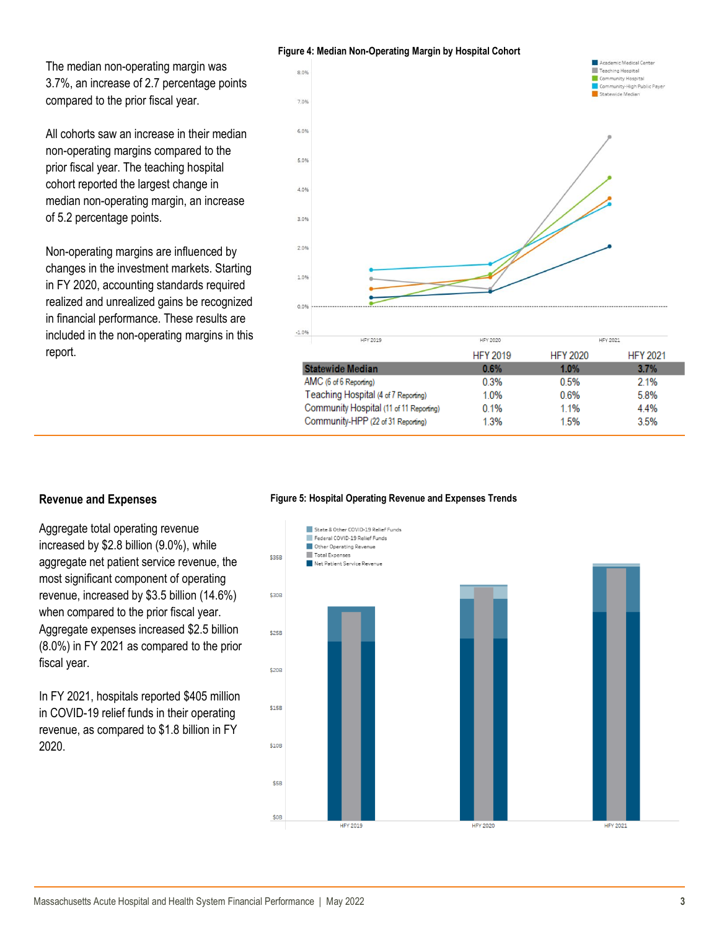The median non-operating margin was 3.7%, an increase of 2.7 percentage points compared to the prior fiscal year.

All cohorts saw an increase in their median non-operating margins compared to the prior fiscal year. The teaching hospital cohort reported the largest change in median non-operating margin, an increase of 5.2 percentage points.

Non-operating margins are influenced by changes in the investment markets. Starting in FY 2020, accounting standards required realized and unrealized gains be recognized in financial performance. These results are included in the non-operating margins in this report.



|                                         | <b>HFY 2019</b> | <b>HFY 2020</b> | <b>HFY 2021</b> |
|-----------------------------------------|-----------------|-----------------|-----------------|
| <b>Statewide Median</b>                 | $0.6\%$         | $1.0\%$         | 3.7%            |
| AMC (6 of 6 Reporting)                  | 0.3%            | 0.5%            | 2.1%            |
| Teaching Hospital (4 of 7 Reporting)    | 1.0%            | 0.6%            | 5.8%            |
| Community Hospital (11 of 11 Reporting) | 0.1%            | 1.1%            | 4.4%            |
| Community-HPP (22 of 31 Reporting)      | 1.3%            | 1.5%            | 3.5%            |

**HFY 2020** 

HFY 2021

Aggregate total operating revenue increased by \$2.8 billion (9.0%), while aggregate net patient service revenue, the most significant component of operating revenue, increased by \$3.5 billion (14.6%) when compared to the prior fiscal year. Aggregate expenses increased \$2.5 billion (8.0%) in FY 2021 as compared to the prior fiscal year.

In FY 2021, hospitals reported \$405 million in COVID-19 relief funds in their operating revenue, as compared to \$1.8 billion in FY 2020.

# **Revenue and Expenses Figure 5: Hospital Operating Revenue and Expenses Trends**

HFY 2019

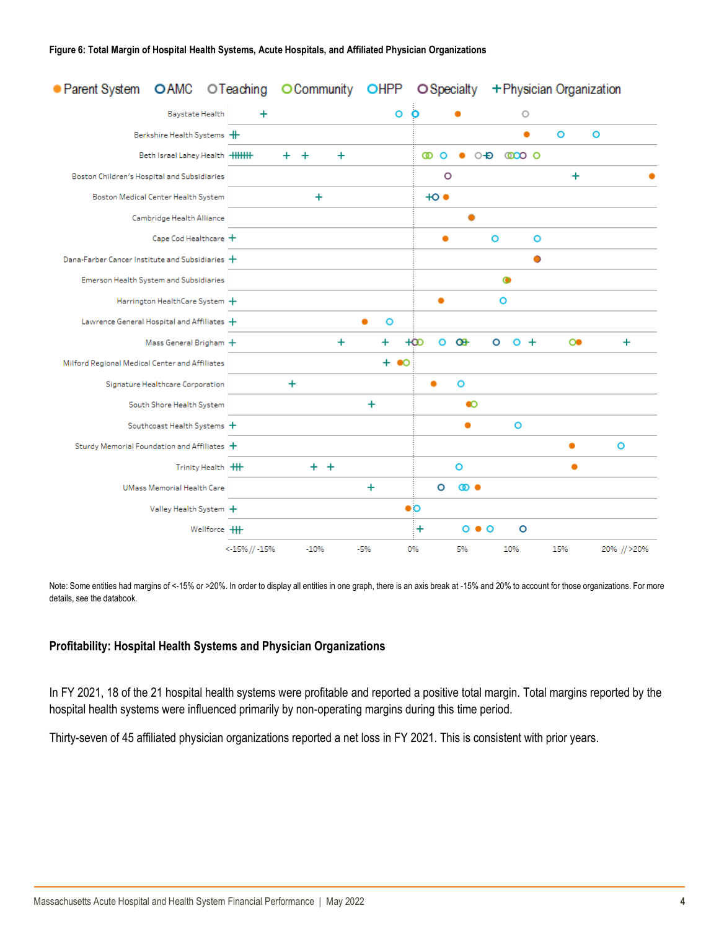| • Parent System OAMC OTeaching                  |                      | O Community |           | OHPP         | <b>O</b> Specialty |           | + Physician Organization |           |              |
|-------------------------------------------------|----------------------|-------------|-----------|--------------|--------------------|-----------|--------------------------|-----------|--------------|
| Baystate Health                                 | ÷                    |             |           | $\mathsf{o}$ | $\bullet$          |           | $\circ$                  |           |              |
| Berkshire Health Systems +                      |                      |             |           |              |                    |           |                          | $\circ$   | $\circ$      |
| Beth Israel Lahey Health +HHH+                  |                      | +<br>٠      | ÷         |              | $\circ$<br>ത       |           | 0-60 0000 0              |           |              |
| Boston Children's Hospital and Subsidiaries     |                      |             |           |              | $\circ$            |           |                          | $\ddot{}$ |              |
| Boston Medical Center Health System             |                      | $\ddot{}$   |           |              | $+O$ $\bullet$     |           |                          |           |              |
| Cambridge Health Alliance                       |                      |             |           |              |                    |           |                          |           |              |
| Cape Cod Healthcare +                           |                      |             |           |              |                    |           | $\circ$<br>$\circ$       |           |              |
| Dana-Farber Cancer Institute and Subsidiaries + |                      |             |           |              |                    |           | ●                        |           |              |
| Emerson Health System and Subsidiaries          |                      |             |           |              |                    |           | $\bullet$                |           |              |
| Harrington HealthCare System +                  |                      |             |           |              |                    |           | $\circ$                  |           |              |
| Lawrence General Hospital and Affiliates +      |                      |             |           | $\circ$<br>٠ |                    |           |                          |           |              |
| Mass General Brigham +                          |                      |             | $\ddot{}$ | ÷            | $+\infty$<br>o     | œ         | $\circ$<br>$0 +$         | $\infty$  | $\ddot{}$    |
| Milford Regional Medical Center and Affiliates  |                      |             |           | $+$ 60       |                    |           |                          |           |              |
| Signature Healthcare Corporation                |                      | $\ddot{}$   |           |              |                    | $\circ$   |                          |           |              |
| South Shore Health System                       |                      |             |           | $\ddot{}$    |                    | $\bullet$ |                          |           |              |
| Southcoast Health Systems +                     |                      |             |           |              |                    |           | $\circ$                  |           |              |
| Sturdy Memorial Foundation and Affiliates +     |                      |             |           |              |                    |           |                          | ٠         | $\circ$      |
| Trinity Health +                                |                      | + +         |           |              |                    | O         |                          |           |              |
| <b>UMass Memorial Health Care</b>               |                      |             |           | +            | $\circ$            | $\bullet$ |                          |           |              |
| Valley Health System +                          |                      |             |           |              | $\bullet$ o        |           |                          |           |              |
| Wellforce +                                     |                      |             |           |              | $\ddot{}$          | O O       | $\circ$                  |           |              |
|                                                 | $< -15\%$ // $-15\%$ | $-10%$      |           | -5%          | 0%                 | 5%        | 10%                      | 15%       | 20% // > 20% |

Note: Some entities had margins of <-15% or >20%. In order to display all entities in one graph, there is an axis break at -15% and 20% to account for those organizations. For more details, see the databook.

# **Profitability: Hospital Health Systems and Physician Organizations**

In FY 2021, 18 of the 21 hospital health systems were profitable and reported a positive total margin. Total margins reported by the hospital health systems were influenced primarily by non-operating margins during this time period.

Thirty-seven of 45 affiliated physician organizations reported a net loss in FY 2021. This is consistent with prior years.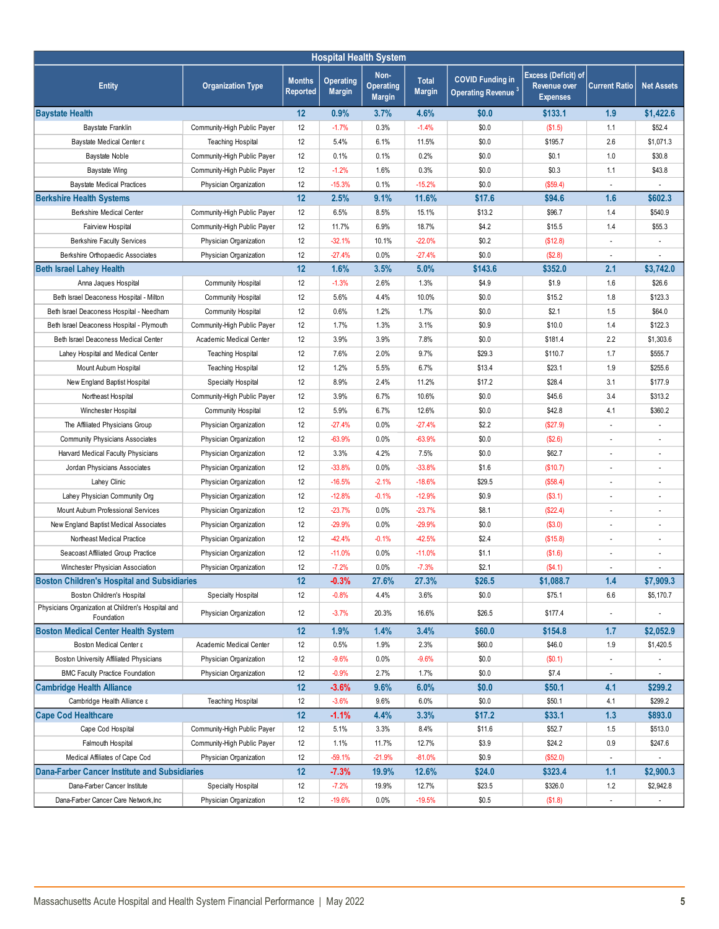| <b>Hospital Health System</b>                                    |                             |                           |                                   |                                           |                               |                                                                 |                                                               |                          |                   |  |
|------------------------------------------------------------------|-----------------------------|---------------------------|-----------------------------------|-------------------------------------------|-------------------------------|-----------------------------------------------------------------|---------------------------------------------------------------|--------------------------|-------------------|--|
| <b>Entity</b>                                                    | <b>Organization Type</b>    | <b>Months</b><br>Reported | <b>Operating</b><br><b>Margin</b> | Non-<br><b>Operating</b><br><b>Margin</b> | <b>Total</b><br><b>Margin</b> | <b>COVID Funding in</b><br><b>Operating Revenue<sup>3</sup></b> | <b>Excess (Deficit) of</b><br>Revenue over<br><b>Expenses</b> | <b>Current Ratio</b>     | <b>Net Assets</b> |  |
| <b>Baystate Health</b>                                           |                             | 12                        | 0.9%                              | 3.7%                                      | 4.6%                          | \$0.0                                                           | \$133.1                                                       | 1.9                      | \$1,422.6         |  |
| Baystate Franklin                                                | Community-High Public Payer | 12                        | $-1.7%$                           | 0.3%                                      | $-1.4%$                       | \$0.0                                                           | (\$1.5)                                                       | 1.1                      | \$52.4            |  |
| Baystate Medical Center &                                        | <b>Teaching Hospital</b>    | 12                        | 5.4%                              | 6.1%                                      | 11.5%                         | \$0.0                                                           | \$195.7                                                       | 2.6                      | \$1,071.3         |  |
| <b>Baystate Noble</b>                                            | Community-High Public Payer | 12                        | 0.1%                              | 0.1%                                      | 0.2%                          | \$0.0                                                           | \$0.1                                                         | 1.0                      | \$30.8            |  |
| <b>Baystate Wing</b>                                             | Community-High Public Payer | 12                        | $-1.2%$                           | 1.6%                                      | 0.3%                          | \$0.0                                                           | \$0.3                                                         | 1.1                      | \$43.8            |  |
| <b>Baystate Medical Practices</b>                                | Physician Organization      | 12                        | $-15.3%$                          | 0.1%                                      | $-15.2%$                      | \$0.0                                                           | (\$59.4)                                                      | $\overline{a}$           |                   |  |
| <b>Berkshire Health Systems</b>                                  |                             | 12                        | 2.5%                              | 9.1%                                      | 11.6%                         | \$17.6                                                          | \$94.6                                                        | 1.6                      | \$602.3           |  |
| <b>Berkshire Medical Center</b>                                  | Community-High Public Payer | 12                        | 6.5%                              | 8.5%                                      | 15.1%                         | \$13.2                                                          | \$96.7                                                        | 1.4                      | \$540.9           |  |
| Fairview Hospital                                                | Community-High Public Payer | 12                        | 11.7%                             | 6.9%                                      | 18.7%                         | \$4.2                                                           | \$15.5                                                        | 1.4                      | \$55.3            |  |
| <b>Berkshire Faculty Services</b>                                | Physician Organization      | 12                        | $-32.1%$                          | 10.1%                                     | $-22.0%$                      | \$0.2                                                           | (\$12.8)                                                      | ÷,                       |                   |  |
| Berkshire Orthopaedic Associates                                 | Physician Organization      | 12                        | $-27.4%$                          | 0.0%                                      | $-27.4%$                      | \$0.0                                                           | (\$2.8)                                                       | $\overline{\phantom{a}}$ |                   |  |
| <b>Beth Israel Lahey Health</b>                                  |                             | 12                        | 1.6%                              | 3.5%                                      | 5.0%                          | \$143.6                                                         | \$352.0                                                       | 2.1                      | \$3,742.0         |  |
| Anna Jaques Hospital                                             | <b>Community Hospital</b>   | 12                        | $-1.3%$                           | 2.6%                                      | 1.3%                          | \$4.9                                                           | \$1.9                                                         | 1.6                      | \$26.6            |  |
| Beth Israel Deaconess Hospital - Milton                          | <b>Community Hospital</b>   | 12                        | 5.6%                              | 4.4%                                      | 10.0%                         | \$0.0                                                           | \$15.2                                                        | 1.8                      | \$123.3           |  |
| Beth Israel Deaconess Hospital - Needham                         | <b>Community Hospital</b>   | 12                        | 0.6%                              | 1.2%                                      | 1.7%                          | \$0.0                                                           | \$2.1                                                         | 1.5                      | \$64.0            |  |
| Beth Israel Deaconess Hospital - Plymouth                        | Community-High Public Payer | 12                        | 1.7%                              | 1.3%                                      | 3.1%                          | \$0.9                                                           | \$10.0                                                        | 1.4                      | \$122.3           |  |
| Beth Israel Deaconess Medical Center                             | Academic Medical Center     | 12                        | 3.9%                              | 3.9%                                      | 7.8%                          | \$0.0                                                           | \$181.4                                                       | 2.2                      | \$1,303.6         |  |
| Lahey Hospital and Medical Center                                | <b>Teaching Hospital</b>    | 12                        | 7.6%                              | 2.0%                                      | 9.7%                          | \$29.3                                                          | \$110.7                                                       | 1.7                      | \$555.7           |  |
| Mount Aubum Hospital                                             | <b>Teaching Hospital</b>    | 12                        | 1.2%                              | 5.5%                                      | 6.7%                          | \$13.4                                                          | \$23.1                                                        | 1.9                      | \$255.6           |  |
| New England Baptist Hospital                                     | Specialty Hospital          | 12                        | 8.9%                              | 2.4%                                      | 11.2%                         | \$17.2                                                          | \$28.4                                                        | 3.1                      | \$177.9           |  |
| Northeast Hospital                                               | Community-High Public Payer | 12                        | 3.9%                              | 6.7%                                      | 10.6%                         | \$0.0                                                           | \$45.6                                                        | 3.4                      | \$313.2           |  |
| Winchester Hospital                                              | <b>Community Hospital</b>   | 12                        | 5.9%                              | 6.7%                                      | 12.6%                         | \$0.0                                                           | \$42.8                                                        | 4.1                      | \$360.2           |  |
| The Affiliated Physicians Group                                  | Physician Organization      | 12                        | $-27.4%$                          | 0.0%                                      | $-27.4%$                      | \$2.2                                                           | (\$27.9)                                                      |                          |                   |  |
| <b>Community Physicians Associates</b>                           | Physician Organization      | 12                        | $-63.9%$                          | 0.0%                                      | $-63.9%$                      | \$0.0                                                           | (\$2.6)                                                       |                          |                   |  |
| Harvard Medical Faculty Physicians                               | Physician Organization      | 12                        | 3.3%                              | 4.2%                                      | 7.5%                          | \$0.0                                                           | \$62.7                                                        | ÷                        |                   |  |
| Jordan Physicians Associates                                     | Physician Organization      | 12                        | $-33.8%$                          | 0.0%                                      | $-33.8%$                      | \$1.6                                                           | (\$10.7)                                                      | ÷                        |                   |  |
| Lahey Clinic                                                     | Physician Organization      | 12                        | $-16.5%$                          | $-2.1%$                                   | $-18.6%$                      | \$29.5                                                          | (\$58.4)                                                      | ÷,                       |                   |  |
| Lahey Physician Community Org                                    | Physician Organization      | 12                        | $-12.8%$                          | $-0.1%$                                   | $-12.9%$                      | \$0.9                                                           | (S3.1)                                                        | ٠                        |                   |  |
| Mount Auburn Professional Services                               | Physician Organization      | 12                        | $-23.7%$                          | 0.0%                                      | $-23.7%$                      | \$8.1                                                           | (\$22.4)                                                      | $\frac{1}{2}$            |                   |  |
| New England Baptist Medical Associates                           | Physician Organization      | 12                        | $-29.9%$                          | 0.0%                                      | $-29.9%$                      | \$0.0                                                           | (\$3.0)                                                       |                          |                   |  |
| Northeast Medical Practice                                       | Physician Organization      | 12                        | $-42.4%$                          | $-0.1%$                                   | -42.5%                        | \$2.4                                                           | (\$15.8)                                                      | $\frac{1}{2}$            |                   |  |
| Seacoast Affiliated Group Practice                               | Physician Organization      | 12                        | $-11.0%$                          | 0.0%                                      | $-11.0%$                      | \$1.1                                                           | (\$1.6)                                                       |                          |                   |  |
| Winchester Physician Association                                 | Physician Organization      | 12                        | $-7.2%$                           | 0.0%                                      | $-7.3%$                       | \$2.1                                                           | (\$4.1)                                                       |                          |                   |  |
| <b>Boston Children's Hospital and Subsidiaries</b>               |                             | 12                        | $-0.3%$                           | 27.6%                                     | 27.3%                         | \$26.5                                                          | \$1,088.7                                                     | 1.4                      | \$7,909.3         |  |
| Boston Children's Hospital                                       | Specialty Hospital          | 12                        | $-0.8%$                           | 4.4%                                      | 3.6%                          | \$0.0                                                           | \$75.1                                                        | 6.6                      | \$5,170.7         |  |
| Physicians Organization at Children's Hospital and<br>Foundation | Physician Organization      | 12                        | $-3.7%$                           | 20.3%                                     | 16.6%                         | \$26.5                                                          | \$177.4                                                       |                          |                   |  |
| <b>Boston Medical Center Health System</b>                       |                             | 12                        | 1.9%                              | 1.4%                                      | 3.4%                          | \$60.0                                                          | \$154.8                                                       | 1.7                      | \$2,052.9         |  |
| Boston Medical Center ε                                          | Academic Medical Center     | 12                        | 0.5%                              | 1.9%                                      | 2.3%                          | \$60.0                                                          | \$46.0                                                        | 1.9                      | \$1,420.5         |  |
| Boston University Affiliated Physicians                          | Physician Organization      | 12                        | $-9.6%$                           | 0.0%                                      | $-9.6%$                       | \$0.0                                                           | (S0.1)                                                        |                          |                   |  |
| <b>BMC Faculty Practice Foundation</b>                           | Physician Organization      | 12                        | $-0.9%$                           | 2.7%                                      | 1.7%                          | \$0.0                                                           | \$7.4                                                         |                          |                   |  |
| <b>Cambridge Health Alliance</b>                                 |                             | 12                        | $-3.6%$                           | 9.6%                                      | 6.0%                          | \$0.0                                                           | \$50.1                                                        | 4.1                      | \$299.2           |  |
| Cambridge Health Alliance ε                                      | <b>Teaching Hospital</b>    | 12                        | $-3.6%$                           | 9.6%                                      | 6.0%                          | \$0.0                                                           | \$50.1                                                        | 4.1                      | \$299.2           |  |
| <b>Cape Cod Healthcare</b>                                       |                             | 12                        | $-1.1%$                           | 4.4%                                      | 3.3%                          | \$17.2                                                          | \$33.1                                                        | 1.3                      | \$893.0           |  |
| Cape Cod Hospital                                                | Community-High Public Payer | 12                        | 5.1%                              | 3.3%                                      | 8.4%                          | \$11.6                                                          | \$52.7                                                        | 1.5                      | \$513.0           |  |
| Falmouth Hospital                                                | Community-High Public Payer | 12                        | 1.1%                              | 11.7%                                     | 12.7%                         | \$3.9                                                           | \$24.2                                                        | 0.9                      | \$247.6           |  |
| Medical Affiliates of Cape Cod                                   | Physician Organization      | 12                        | $-59.1%$                          | $-21.9%$                                  | $-81.0%$                      | \$0.9                                                           | (\$52.0)                                                      |                          |                   |  |
| <b>Dana-Farber Cancer Institute and Subsidiaries</b>             |                             | 12                        | -7.3%                             | 19.9%                                     | 12.6%                         | \$24.0                                                          | \$323.4                                                       | 1.1                      | \$2,900.3         |  |
| Dana-Farber Cancer Institute                                     | Specialty Hospital          | 12                        | $-7.2%$                           | 19.9%                                     | 12.7%                         | \$23.5                                                          | \$326.0                                                       | 1.2                      | \$2,942.8         |  |
| Dana-Farber Cancer Care Network, Inc                             | Physician Organization      | 12                        | $-19.6%$                          | 0.0%                                      | $-19.5%$                      | \$0.5                                                           | (\$1.8)                                                       | $\frac{1}{2}$            |                   |  |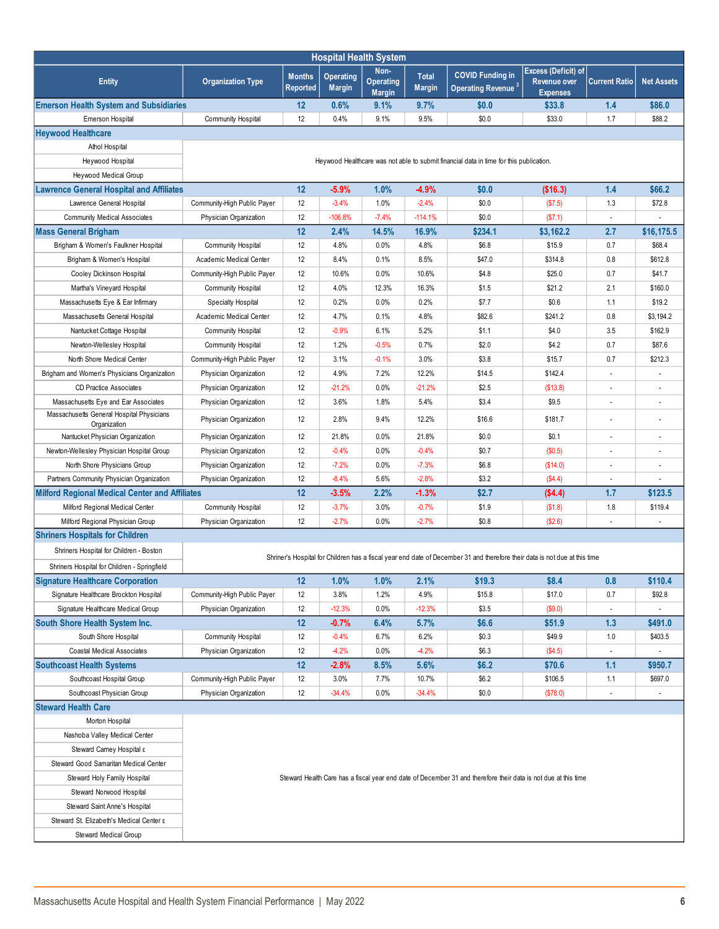| <b>Hospital Health System</b>                                                     |                             |                                  |                                   |                                           |                               |                                                                                                                            |                                                        |                          |                   |
|-----------------------------------------------------------------------------------|-----------------------------|----------------------------------|-----------------------------------|-------------------------------------------|-------------------------------|----------------------------------------------------------------------------------------------------------------------------|--------------------------------------------------------|--------------------------|-------------------|
| <b>Entity</b>                                                                     | <b>Organization Type</b>    | <b>Months</b><br><b>Reported</b> | <b>Operating</b><br><b>Margin</b> | Non-<br><b>Operating</b><br><b>Margin</b> | <b>Total</b><br><b>Margin</b> | <b>COVID Funding in</b><br>Operating Revenue <sup>3</sup>                                                                  | Excess (Deficit) of<br>Revenue over<br><b>Expenses</b> | <b>Current Ratio</b>     | <b>Net Assets</b> |
| <b>Emerson Health System and Subsidiaries</b>                                     |                             | 12                               | 0.6%                              | 9.1%                                      | 9.7%                          | \$0.0                                                                                                                      | \$33.8                                                 | 1.4                      | \$86.0            |
| Emerson Hospital                                                                  | <b>Community Hospital</b>   | 12                               | 0.4%                              | 9.1%                                      | 9.5%                          | \$0.0                                                                                                                      | \$33.0                                                 | 1.7                      | \$88.2            |
| <b>Heywood Healthcare</b>                                                         |                             |                                  |                                   |                                           |                               |                                                                                                                            |                                                        |                          |                   |
| Athol Hospital                                                                    |                             |                                  |                                   |                                           |                               |                                                                                                                            |                                                        |                          |                   |
| Heywood Hospital                                                                  |                             |                                  |                                   |                                           |                               | Heywood Healthcare was not able to submit financial data in time for this publication.                                     |                                                        |                          |                   |
| Heywood Medical Group                                                             |                             |                                  |                                   |                                           |                               |                                                                                                                            |                                                        |                          |                   |
| <b>Lawrence General Hospital and Affiliates</b>                                   |                             | 12                               | $-5.9%$                           | 1.0%                                      | $-4.9%$                       | \$0.0                                                                                                                      | (\$16.3)                                               | 1.4                      | \$66.2            |
| Lawrence General Hospital                                                         | Community-High Public Payer | 12                               | $-3.4%$                           | 1.0%                                      | $-2.4%$                       | \$0.0                                                                                                                      | (S7.5)                                                 | 1.3                      | \$72.8            |
| <b>Community Medical Associates</b>                                               | Physician Organization      | 12                               | $-106.8%$                         | $-7.4%$                                   | $-114.1%$                     | \$0.0                                                                                                                      | (S7.1)                                                 | $\overline{a}$           |                   |
| <b>Mass General Brigham</b>                                                       |                             | 12                               | 2.4%                              | 14.5%                                     | 16.9%                         | \$234.1                                                                                                                    | \$3,162.2                                              | 2.7                      | \$16,175.5        |
| Brigham & Women's Faulkner Hospital                                               | <b>Community Hospital</b>   | 12                               | 4.8%                              | 0.0%                                      | 4.8%                          | \$6.8                                                                                                                      | \$15.9                                                 | 0.7                      | \$68.4            |
| Brigham & Women's Hospital                                                        | Academic Medical Center     | 12                               | 8.4%                              | 0.1%                                      | 8.5%                          | \$47.0                                                                                                                     | \$314.8                                                | 0.8                      | \$612.8           |
| Cooley Dickinson Hospital                                                         | Community-High Public Payer | 12                               | 10.6%                             | 0.0%                                      | 10.6%                         | \$4.8                                                                                                                      | \$25.0                                                 | 0.7                      | \$41.7            |
| Martha's Vineyard Hospital                                                        | <b>Community Hospital</b>   | 12                               | 4.0%                              | 12.3%                                     | 16.3%                         | \$1.5                                                                                                                      | \$21.2                                                 | 2.1                      | \$160.0           |
| Massachusetts Eye & Ear Infirmary                                                 | Specialty Hospital          | 12                               | 0.2%                              | 0.0%                                      | 0.2%                          | \$7.7                                                                                                                      | \$0.6                                                  | 1.1                      | \$19.2            |
| Massachusetts General Hospital                                                    | Academic Medical Center     | 12                               | 4.7%                              | 0.1%                                      | 4.8%                          | \$82.6                                                                                                                     | \$241.2                                                | 0.8                      | \$3,194.2         |
| Nantucket Cottage Hospital                                                        | <b>Community Hospital</b>   | 12                               | $-0.9%$                           | 6.1%                                      | 5.2%                          | \$1.1                                                                                                                      | \$4.0                                                  | 3.5                      | \$162.9           |
| Newton-Wellesley Hospital                                                         | <b>Community Hospital</b>   | 12                               | 1.2%                              | $-0.5%$                                   | 0.7%                          | \$2.0                                                                                                                      | \$4.2                                                  | 0.7                      | \$87.6            |
| North Shore Medical Center                                                        | Community-High Public Payer | 12                               | 3.1%                              | $-0.1%$                                   | 3.0%                          | \$3.8                                                                                                                      | \$15.7                                                 | 0.7                      | \$212.3           |
|                                                                                   |                             | 12                               | 4.9%                              | 7.2%                                      | 12.2%                         | \$14.5                                                                                                                     | \$142.4                                                | $\overline{\phantom{a}}$ |                   |
| Brigham and Women's Physicians Organization                                       | Physician Organization      |                                  |                                   |                                           |                               |                                                                                                                            |                                                        |                          |                   |
| <b>CD Practice Associates</b>                                                     | Physician Organization      | 12                               | $-21.2%$                          | 0.0%                                      | $-21.2%$                      | \$2.5                                                                                                                      | (\$13.8)                                               | ÷                        |                   |
| Massachusetts Eye and Ear Associates<br>Massachusetts General Hospital Physicians | Physician Organization      | 12                               | 3.6%                              | 1.8%                                      | 5.4%                          | \$3.4                                                                                                                      | \$9.5                                                  | ÷                        |                   |
| Organization                                                                      | Physician Organization      | 12                               | 2.8%                              | 9.4%                                      | 12.2%                         | \$16.6                                                                                                                     | \$181.7                                                |                          |                   |
| Nantucket Physician Organization                                                  | Physician Organization      | 12                               | 21.8%                             | 0.0%                                      | 21.8%                         | \$0.0                                                                                                                      | \$0.1                                                  | ÷                        |                   |
| Newton-Wellesley Physician Hospital Group                                         | Physician Organization      | 12                               | $-0.4%$                           | 0.0%                                      | $-0.4%$                       | \$0.7                                                                                                                      | (\$0.5)                                                | ÷                        |                   |
| North Shore Physicians Group                                                      | Physician Organization      | 12                               | $-7.2%$                           | 0.0%                                      | $-7.3%$                       | \$6.8                                                                                                                      | (\$14.0)                                               | ÷                        |                   |
| Partners Community Physician Organization                                         | Physician Organization      | 12                               | $-8.4%$                           | 5.6%                                      | $-2.8%$                       | \$3.2                                                                                                                      | (\$4.4)                                                | ÷                        |                   |
| <b>Milford Regional Medical Center and Affiliates</b>                             |                             | 12                               | $-3.5%$                           | 2.2%                                      | $-1.3%$                       | \$2.7                                                                                                                      | (\$4.4)                                                | 1.7                      | \$123.5           |
| Milford Regional Medical Center                                                   | Community Hospital          | 12                               | $-3.7%$                           | 3.0%                                      | $-0.7%$                       | \$1.9                                                                                                                      | (\$1.8)                                                | 1.8                      | \$119.4           |
| Milford Regional Physician Group                                                  | Physician Organization      | 12                               | $-2.7%$                           | 0.0%                                      | $-2.7%$                       | \$0.8                                                                                                                      | (\$2.6)                                                | ÷                        | $\overline{a}$    |
| <b>Shriners Hospitals for Children</b>                                            |                             |                                  |                                   |                                           |                               |                                                                                                                            |                                                        |                          |                   |
| Shriners Hospital for Children - Boston                                           |                             |                                  |                                   |                                           |                               |                                                                                                                            |                                                        |                          |                   |
| Shriners Hospital for Children - Springfield                                      |                             |                                  |                                   |                                           |                               | Shriner's Hospital for Children has a fiscal year end date of December 31 and therefore their data is not due at this time |                                                        |                          |                   |
| <b>Signature Healthcare Corporation</b>                                           |                             | 12                               | 1.0%                              | 1.0%                                      | 2.1%                          | \$19.3                                                                                                                     | \$8.4                                                  | 0.8                      | \$110.4           |
| Signature Healthcare Brockton Hospital                                            | Community-High Public Payer | 12                               | 3.8%                              | 1.2%                                      | 4.9%                          | \$15.8                                                                                                                     | \$17.0                                                 | 0.7                      | \$92.8            |
| Signature Healthcare Medical Group                                                | Physician Organization      | 12                               | $-12.3%$                          | 0.0%                                      | $-12.3%$                      | \$3.5                                                                                                                      | (\$9.0)                                                |                          |                   |
| South Shore Health System Inc.                                                    |                             | 12                               | $-0.7%$                           | 6.4%                                      | 5.7%                          | \$6.6                                                                                                                      | \$51.9                                                 | 1.3                      | \$491.0           |
| South Shore Hospital                                                              | Community Hospital          | 12                               | $-0.4%$                           | 6.7%                                      | 6.2%                          | \$0.3                                                                                                                      | \$49.9                                                 | 1.0                      | \$403.5           |
| Coastal Medical Associates                                                        | Physician Organization      | 12                               | $-4.2%$                           | 0.0%                                      | $-4.2%$                       | \$6.3                                                                                                                      | (\$4.5)                                                |                          |                   |
| <b>Southcoast Health Systems</b>                                                  |                             | 12                               | $-2.8%$                           | 8.5%                                      | 5.6%                          | \$6.2\$                                                                                                                    | \$70.6                                                 | 1.1                      | \$950.7           |
| Southcoast Hospital Group                                                         | Community-High Public Payer | 12                               | 3.0%                              | 7.7%                                      | 10.7%                         | \$6.2                                                                                                                      | \$106.5                                                | 1.1                      | \$697.0           |
| Southcoast Physician Group                                                        | Physician Organization      | 12                               | $-34.4%$                          | 0.0%                                      | $-34.4%$                      | \$0.0                                                                                                                      | (\$78.0)                                               | ÷,                       |                   |
| <b>Steward Health Care</b>                                                        |                             |                                  |                                   |                                           |                               |                                                                                                                            |                                                        |                          |                   |
| Morton Hospital                                                                   |                             |                                  |                                   |                                           |                               |                                                                                                                            |                                                        |                          |                   |
| Nashoba Valley Medical Center                                                     |                             |                                  |                                   |                                           |                               |                                                                                                                            |                                                        |                          |                   |
| Steward Carney Hospital ε                                                         |                             |                                  |                                   |                                           |                               |                                                                                                                            |                                                        |                          |                   |
| Steward Good Samaritan Medical Center                                             |                             |                                  |                                   |                                           |                               |                                                                                                                            |                                                        |                          |                   |
| Steward Holy Family Hospital                                                      |                             |                                  |                                   |                                           |                               | Steward Health Care has a fiscal year end date of December 31 and therefore their data is not due at this time             |                                                        |                          |                   |
| Steward Norwood Hospital                                                          |                             |                                  |                                   |                                           |                               |                                                                                                                            |                                                        |                          |                   |
| Steward Saint Anne's Hospital                                                     |                             |                                  |                                   |                                           |                               |                                                                                                                            |                                                        |                          |                   |
| Steward St. Elizabeth's Medical Center ε                                          |                             |                                  |                                   |                                           |                               |                                                                                                                            |                                                        |                          |                   |
| Steward Medical Group                                                             |                             |                                  |                                   |                                           |                               |                                                                                                                            |                                                        |                          |                   |
|                                                                                   |                             |                                  |                                   |                                           |                               |                                                                                                                            |                                                        |                          |                   |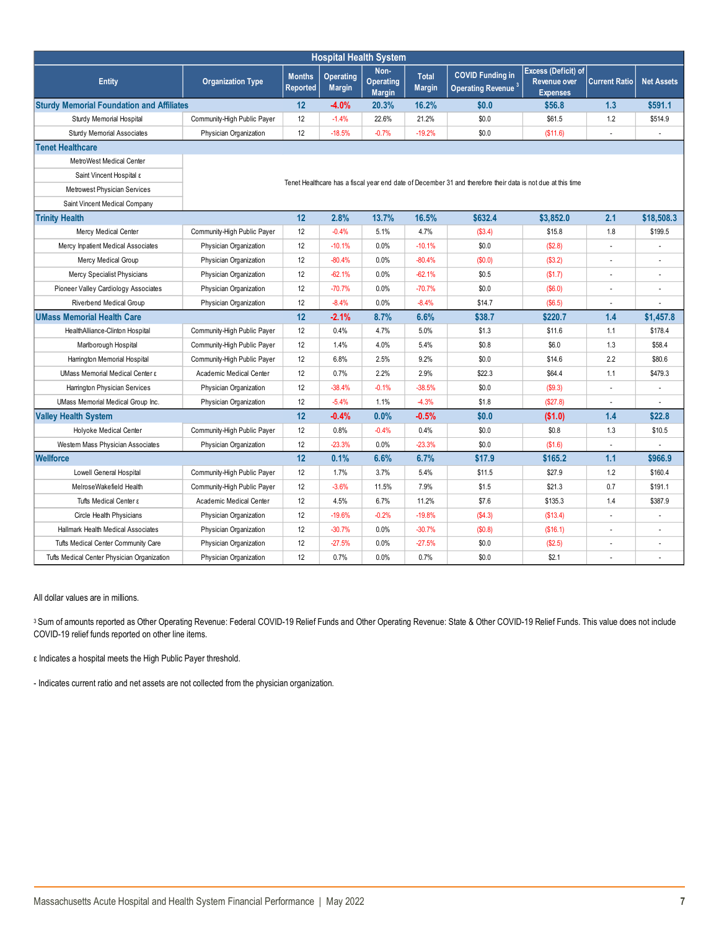| <b>Hospital Health System</b>                    |                                                                                                             |                                  |                                   |                                           |                        |                                                           |                                                        |                          |                   |
|--------------------------------------------------|-------------------------------------------------------------------------------------------------------------|----------------------------------|-----------------------------------|-------------------------------------------|------------------------|-----------------------------------------------------------|--------------------------------------------------------|--------------------------|-------------------|
| <b>Entity</b>                                    | <b>Organization Type</b>                                                                                    | <b>Months</b><br><b>Reported</b> | <b>Operating</b><br><b>Margin</b> | Non-<br><b>Operating</b><br><b>Margin</b> | Total<br><b>Margin</b> | <b>COVID Funding in</b><br>Operating Revenue <sup>3</sup> | <b>Excess (Deficit) of</b><br>Revenue over<br>Expenses | <b>Current Ratio</b>     | <b>Net Assets</b> |
| <b>Sturdy Memorial Foundation and Affiliates</b> |                                                                                                             | 12                               | $-4.0%$                           | 20.3%                                     | 16.2%                  | \$0.0                                                     | \$56.8                                                 | 1.3                      | \$591.1           |
| Sturdy Memorial Hospital                         | Community-High Public Payer                                                                                 | 12                               | $-1.4%$                           | 22.6%                                     | 21.2%                  | \$0.0                                                     | \$61.5                                                 | 1.2                      | \$514.9           |
| <b>Sturdy Memorial Associates</b>                | Physician Organization                                                                                      | 12                               | $-18.5%$                          | $-0.7%$                                   | $-19.2%$               | \$0.0                                                     | (\$11.6)                                               |                          |                   |
| <b>Tenet Healthcare</b>                          |                                                                                                             |                                  |                                   |                                           |                        |                                                           |                                                        |                          |                   |
| MetroWest Medical Center                         |                                                                                                             |                                  |                                   |                                           |                        |                                                           |                                                        |                          |                   |
| Saint Vincent Hospital ε                         | Tenet Healthcare has a fiscal year end date of December 31 and therefore their data is not due at this time |                                  |                                   |                                           |                        |                                                           |                                                        |                          |                   |
| Metrowest Physician Services                     |                                                                                                             |                                  |                                   |                                           |                        |                                                           |                                                        |                          |                   |
| Saint Vincent Medical Company                    |                                                                                                             |                                  |                                   |                                           |                        |                                                           |                                                        |                          |                   |
| <b>Trinity Health</b>                            |                                                                                                             | 12                               | 2.8%                              | 13.7%                                     | 16.5%                  | \$632.4                                                   | \$3,852.0                                              | 2.1                      | \$18,508.3        |
| Mercy Medical Center                             | Community-High Public Payer                                                                                 | 12                               | $-0.4%$                           | 5.1%                                      | 4.7%                   | (\$3.4)                                                   | \$15.8                                                 | 1.8                      | \$199.5           |
| Mercy Inpatient Medical Associates               | Physician Organization                                                                                      | 12                               | $-10.1%$                          | 0.0%                                      | $-10.1%$               | \$0.0                                                     | (S2.8)                                                 |                          |                   |
| Mercy Medical Group                              | Physician Organization                                                                                      | 12                               | $-80.4%$                          | 0.0%                                      | $-80.4%$               | (\$0.0)                                                   | (\$3.2)                                                | ÷                        |                   |
| Mercy Specialist Physicians                      | Physician Organization                                                                                      | 12                               | $-62.1%$                          | 0.0%                                      | $-62.1%$               | \$0.5                                                     | (S1.7)                                                 | ÷                        |                   |
| Pioneer Valley Cardiology Associates             | Physician Organization                                                                                      | 12                               | $-70.7%$                          | 0.0%                                      | $-70.7%$               | \$0.0                                                     | (\$6.0)                                                | $\overline{a}$           |                   |
| <b>Riverbend Medical Group</b>                   | Physician Organization                                                                                      | 12                               | $-8.4%$                           | 0.0%                                      | $-8.4%$                | \$14.7                                                    | (S6.5)                                                 | $\overline{a}$           |                   |
| <b>UMass Memorial Health Care</b>                |                                                                                                             | 12                               | $-2.1%$                           | 8.7%                                      | 6.6%                   | \$38.7                                                    | \$220.7                                                | 1.4                      | \$1,457.8         |
| HealthAlliance-Clinton Hospital                  | Community-High Public Payer                                                                                 | 12                               | 0.4%                              | 4.7%                                      | 5.0%                   | \$1.3                                                     | \$11.6                                                 | 1.1                      | \$178.4           |
| Marlborough Hospital                             | Community-High Public Payer                                                                                 | 12                               | 1.4%                              | 4.0%                                      | 5.4%                   | \$0.8                                                     | \$6.0                                                  | 1.3                      | \$58.4            |
| Harrington Memorial Hospital                     | Community-High Public Payer                                                                                 | 12                               | 6.8%                              | 2.5%                                      | 9.2%                   | \$0.0                                                     | \$14.6                                                 | 2.2                      | \$80.6            |
| UMass Memorial Medical Center $\varepsilon$      | Academic Medical Center                                                                                     | 12                               | 0.7%                              | 2.2%                                      | 2.9%                   | \$22.3                                                    | \$64.4                                                 | 1.1                      | \$479.3           |
| Harrington Physician Services                    | Physician Organization                                                                                      | 12                               | $-38.4%$                          | $-0.1%$                                   | $-38.5%$               | \$0.0                                                     | (S9.3)                                                 |                          |                   |
| UMass Memorial Medical Group Inc.                | Physician Organization                                                                                      | 12                               | $-5.4%$                           | 1.1%                                      | $-4.3%$                | \$1.8                                                     | (\$27.8)                                               |                          |                   |
| <b>Valley Health System</b>                      |                                                                                                             | 12 <sup>2</sup>                  | $-0.4%$                           | 0.0%                                      | $-0.5%$                | \$0.0                                                     | (\$1.0)                                                | 1.4                      | \$22.8            |
| Holyoke Medical Center                           | Community-High Public Payer                                                                                 | 12                               | 0.8%                              | $-0.4%$                                   | 0.4%                   | \$0.0                                                     | \$0.8                                                  | 1.3                      | \$10.5            |
| Western Mass Physician Associates                | Physician Organization                                                                                      | 12                               | $-23.3%$                          | 0.0%                                      | $-23.3%$               | \$0.0                                                     | (S1.6)                                                 |                          |                   |
| <b>Wellforce</b>                                 |                                                                                                             | 12                               | 0.1%                              | 6.6%                                      | 6.7%                   | \$17.9                                                    | \$165.2                                                | 1.1                      | \$966.9           |
| Lowell General Hospital                          | Community-High Public Payer                                                                                 | 12                               | 1.7%                              | 3.7%                                      | 5.4%                   | \$11.5                                                    | \$27.9                                                 | 1.2                      | \$160.4           |
| MelroseWakefield Health                          | Community-High Public Payer                                                                                 | 12                               | $-3.6%$                           | 11.5%                                     | 7.9%                   | \$1.5                                                     | \$21.3                                                 | 0.7                      | \$191.1           |
| Tufts Medical Center ε                           | Academic Medical Center                                                                                     | 12                               | 4.5%                              | 6.7%                                      | 11.2%                  | \$7.6                                                     | \$135.3                                                | 1.4                      | \$387.9           |
| Circle Health Physicians                         | Physician Organization                                                                                      | 12                               | $-19.6%$                          | $-0.2%$                                   | $-19.8%$               | (\$4.3)                                                   | (\$13.4)                                               | $\overline{\phantom{a}}$ |                   |
| Hallmark Health Medical Associates               | Physician Organization                                                                                      | 12                               | $-30.7%$                          | 0.0%                                      | $-30.7%$               | (\$0.8)                                                   | (\$16.1)                                               | ÷                        |                   |
| Tufts Medical Center Community Care              | Physician Organization                                                                                      | 12                               | $-27.5%$                          | 0.0%                                      | $-27.5%$               | \$0.0                                                     | (\$2.5)                                                | ÷                        |                   |
| Tufts Medical Center Physician Organization      | Physician Organization                                                                                      | 12                               | 0.7%                              | 0.0%                                      | 0.7%                   | \$0.0                                                     | \$2.1                                                  | ÷                        |                   |

#### All dollar values are in millions.

<sup>3</sup> Sum of amounts reported as Other Operating Revenue: Federal COVID-19 Relief Funds and Other Operating Revenue: State & Other COVID-19 Relief Funds. This value does not include COVID-19 relief funds reported on other line items.

ε Indicates a hospital meets the High Public Payer threshold.

- Indicates current ratio and net assets are not collected from the physician organization.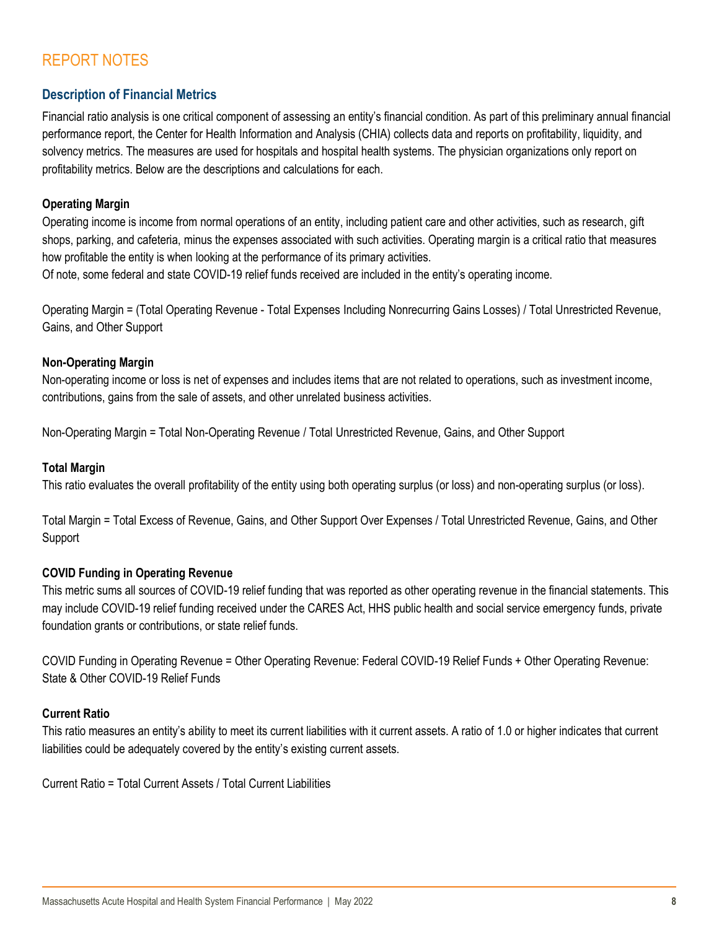# REPORT NOTES

# **Description of Financial Metrics**

Financial ratio analysis is one critical component of assessing an entity's financial condition. As part of this preliminary annual financial performance report, the Center for Health Information and Analysis (CHIA) collects data and reports on profitability, liquidity, and solvency metrics. The measures are used for hospitals and hospital health systems. The physician organizations only report on profitability metrics. Below are the descriptions and calculations for each.

# **Operating Margin**

Operating income is income from normal operations of an entity, including patient care and other activities, such as research, gift shops, parking, and cafeteria, minus the expenses associated with such activities. Operating margin is a critical ratio that measures how profitable the entity is when looking at the performance of its primary activities.

Of note, some federal and state COVID-19 relief funds received are included in the entity's operating income.

Operating Margin = (Total Operating Revenue - Total Expenses Including Nonrecurring Gains Losses) / Total Unrestricted Revenue, Gains, and Other Support

# **Non-Operating Margin**

Non-operating income or loss is net of expenses and includes items that are not related to operations, such as investment income, contributions, gains from the sale of assets, and other unrelated business activities.

Non-Operating Margin = Total Non-Operating Revenue / Total Unrestricted Revenue, Gains, and Other Support

# **Total Margin**

This ratio evaluates the overall profitability of the entity using both operating surplus (or loss) and non-operating surplus (or loss).

Total Margin = Total Excess of Revenue, Gains, and Other Support Over Expenses / Total Unrestricted Revenue, Gains, and Other Support

# **COVID Funding in Operating Revenue**

This metric sums all sources of COVID-19 relief funding that was reported as other operating revenue in the financial statements. This may include COVID-19 relief funding received under the CARES Act, HHS public health and social service emergency funds, private foundation grants or contributions, or state relief funds.

COVID Funding in Operating Revenue = Other Operating Revenue: Federal COVID-19 Relief Funds + Other Operating Revenue: State & Other COVID-19 Relief Funds

# **Current Ratio**

This ratio measures an entity's ability to meet its current liabilities with it current assets. A ratio of 1.0 or higher indicates that current liabilities could be adequately covered by the entity's existing current assets.

Current Ratio = Total Current Assets / Total Current Liabilities